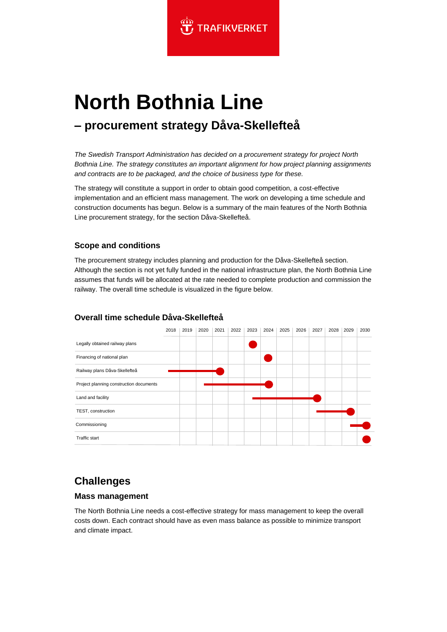**TRAFIKVERKET** 

# **North Bothnia Line**

## **– procurement strategy Dåva-Skellefteå**

*The Swedish Transport Administration has decided on a procurement strategy for project North Bothnia Line. The strategy constitutes an important alignment for how project planning assignments and contracts are to be packaged, and the choice of business type for these.*

The strategy will constitute a support in order to obtain good competition, a cost-effective implementation and an efficient mass management. The work on developing a time schedule and construction documents has begun. Below is a summary of the main features of the North Bothnia Line procurement strategy, for the section Dåva-Skellefteå.

## **Scope and conditions**

The procurement strategy includes planning and production for the Dåva-Skellefteå section. Although the section is not yet fully funded in the national infrastructure plan, the North Bothnia Line assumes that funds will be allocated at the rate needed to complete production and commission the railway. The overall time schedule is visualized in the figure below.



#### **Overall time schedule Dåva-Skellefteå**

## **Challenges**

## **Mass management**

The North Bothnia Line needs a cost-effective strategy for mass management to keep the overall costs down. Each contract should have as even mass balance as possible to minimize transport and climate impact.